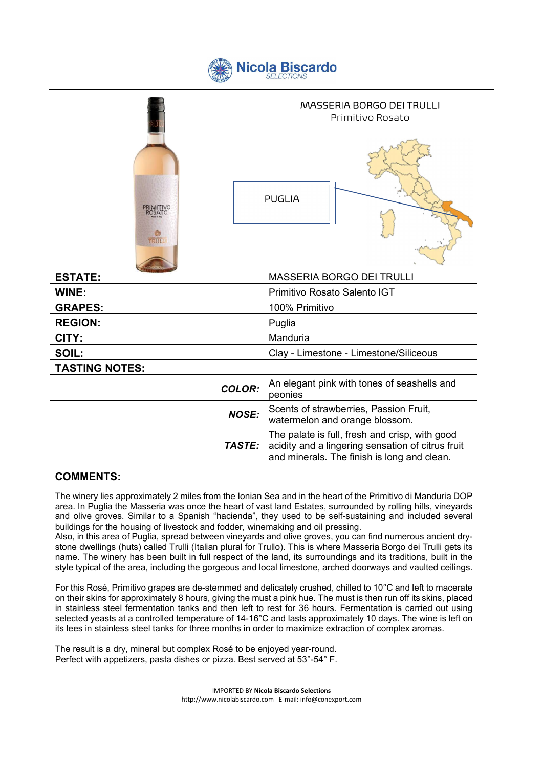|  |  | Nicola Biscardo |
|--|--|-----------------|
|--|--|-----------------|

|                                     | <b>MASSERIA BORGO DEI TRULLI</b><br>Primitivo Rosato |                                                                                                                                                    |  |
|-------------------------------------|------------------------------------------------------|----------------------------------------------------------------------------------------------------------------------------------------------------|--|
| <b>PRIMITIVO</b><br>ROSATO<br>TRULL |                                                      | <b>PUGLIA</b>                                                                                                                                      |  |
| <b>ESTATE:</b>                      |                                                      | <b>MASSERIA BORGO DEI TRULLI</b>                                                                                                                   |  |
| <b>WINE:</b>                        |                                                      | Primitivo Rosato Salento IGT                                                                                                                       |  |
| <b>GRAPES:</b>                      |                                                      | 100% Primitivo                                                                                                                                     |  |
| <b>REGION:</b>                      |                                                      | Puglia                                                                                                                                             |  |
| CITY:                               |                                                      | Manduria                                                                                                                                           |  |
| SOIL:                               |                                                      | Clay - Limestone - Limestone/Siliceous                                                                                                             |  |
| <b>TASTING NOTES:</b>               |                                                      |                                                                                                                                                    |  |
|                                     | <b>COLOR:</b>                                        | An elegant pink with tones of seashells and<br>peonies                                                                                             |  |
|                                     | <b>NOSE:</b>                                         | Scents of strawberries, Passion Fruit,<br>watermelon and orange blossom.                                                                           |  |
|                                     | <b>TASTE:</b>                                        | The palate is full, fresh and crisp, with good<br>acidity and a lingering sensation of citrus fruit<br>and minerals. The finish is long and clean. |  |

## COMMENTS:

The winery lies approximately 2 miles from the Ionian Sea and in the heart of the Primitivo di Manduria DOP area. In Puglia the Masseria was once the heart of vast land Estates, surrounded by rolling hills, vineyards and olive groves. Similar to a Spanish "hacienda", they used to be self-sustaining and included several buildings for the housing of livestock and fodder, winemaking and oil pressing.

Also, in this area of Puglia, spread between vineyards and olive groves, you can find numerous ancient drystone dwellings (huts) called Trulli (Italian plural for Trullo). This is where Masseria Borgo dei Trulli gets its name. The winery has been built in full respect of the land, its surroundings and its traditions, built in the style typical of the area, including the gorgeous and local limestone, arched doorways and vaulted ceilings.

For this Rosé, Primitivo grapes are de-stemmed and delicately crushed, chilled to 10°C and left to macerate on their skins for approximately 8 hours, giving the must a pink hue. The must is then run off its skins, placed in stainless steel fermentation tanks and then left to rest for 36 hours. Fermentation is carried out using selected yeasts at a controlled temperature of 14-16°C and lasts approximately 10 days. The wine is left on its lees in stainless steel tanks for three months in order to maximize extraction of complex aromas.

The result is a dry, mineral but complex Rosé to be enjoyed year-round. Perfect with appetizers, pasta dishes or pizza. Best served at 53°-54° F.